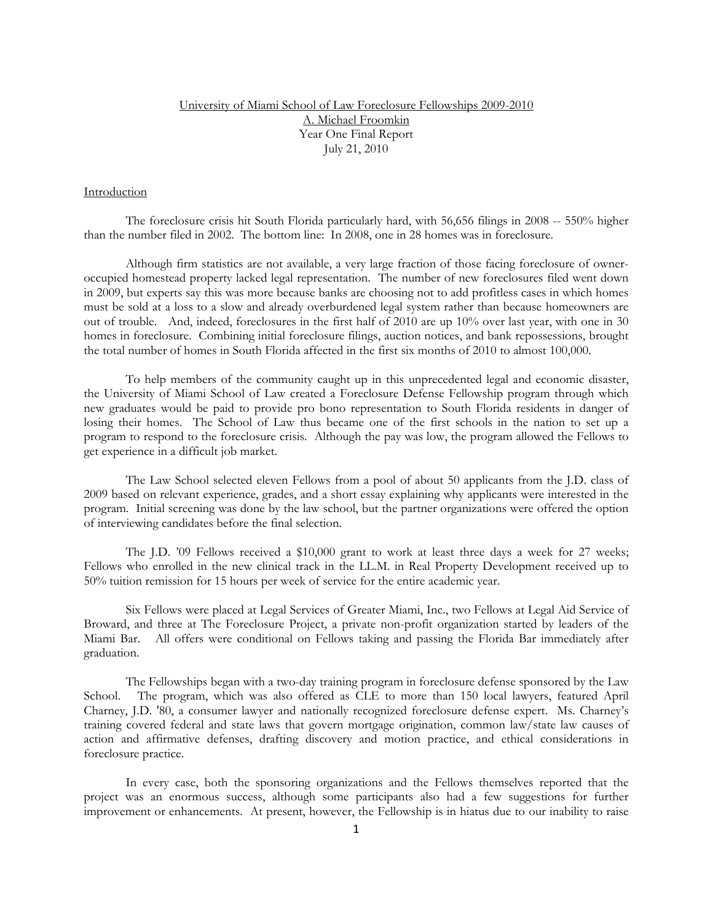## University of Miami School of Law Foreclosure Fellowships 2009-2010 A. Michael Froomkin Year One Final Report July 21, 2010

### Introduction

The foreclosure crisis hit South Florida particularly hard, with 56,656 filings in 2008 -- 550% higher than the number filed in 2002. The bottom line: In 2008, one in 28 homes was in foreclosure.

Although firm statistics are not available, a very large fraction of those facing foreclosure of owneroccupied homestead property lacked legal representation. The number of new foreclosures filed went down in 2009, but experts say this was more because banks are choosing not to add profitless cases in which homes must be sold at a loss to a slow and already overburdened legal system rather than because homeowners are out of trouble. And, indeed, foreclosures in the first half of 2010 are up 10% over last year, with one in 30 homes in foreclosure. Combining initial foreclosure filings, auction notices, and bank repossessions, brought the total number of homes in South Florida affected in the first six months of 2010 to almost 100,000.

To help members of the community caught up in this unprecedented legal and economic disaster, the University of Miami School of Law created a Foreclosure Defense Fellowship program through which new graduates would be paid to provide pro bono representation to South Florida residents in danger of losing their homes. The School of Law thus became one of the first schools in the nation to set up a program to respond to the foreclosure crisis. Although the pay was low, the program allowed the Fellows to get experience in a difficult job market.

The Law School selected eleven Fellows from a pool of about 50 applicants from the J.D. class of 2009 based on relevant experience, grades, and a short essay explaining why applicants were interested in the program. Initial screening was done by the law school, but the partner organizations were offered the option of interviewing candidates before the final selection.

The J.D. '09 Fellows received a \$10,000 grant to work at least three days a week for 27 weeks; Fellows who enrolled in the new clinical track in the LL.M. in Real Property Development received up to 50% tuition remission for 15 hours per week of service for the entire academic year.

Six Fellows were placed at Legal Services of Greater Miami, Inc., two Fellows at Legal Aid Service of Broward, and three at The Foreclosure Project, a private non-profit organization started by leaders of the Miami Bar. All offers were conditional on Fellows taking and passing the Florida Bar immediately after graduation.

The Fellowships began with a two-day training program in foreclosure defense sponsored by the Law School. The program, which was also offered as CLE to more than 150 local lawyers, featured April Charney, J.D. '80, a consumer lawyer and nationally recognized foreclosure defense expert. Ms. Charney's training covered federal and state laws that govern mortgage origination, common law/state law causes of action and affirmative defenses, drafting discovery and motion practice, and ethical considerations in foreclosure practice.

In every case, both the sponsoring organizations and the Fellows themselves reported that the project was an enormous success, although some participants also had a few suggestions for further improvement or enhancements. At present, however, the Fellowship is in hiatus due to our inability to raise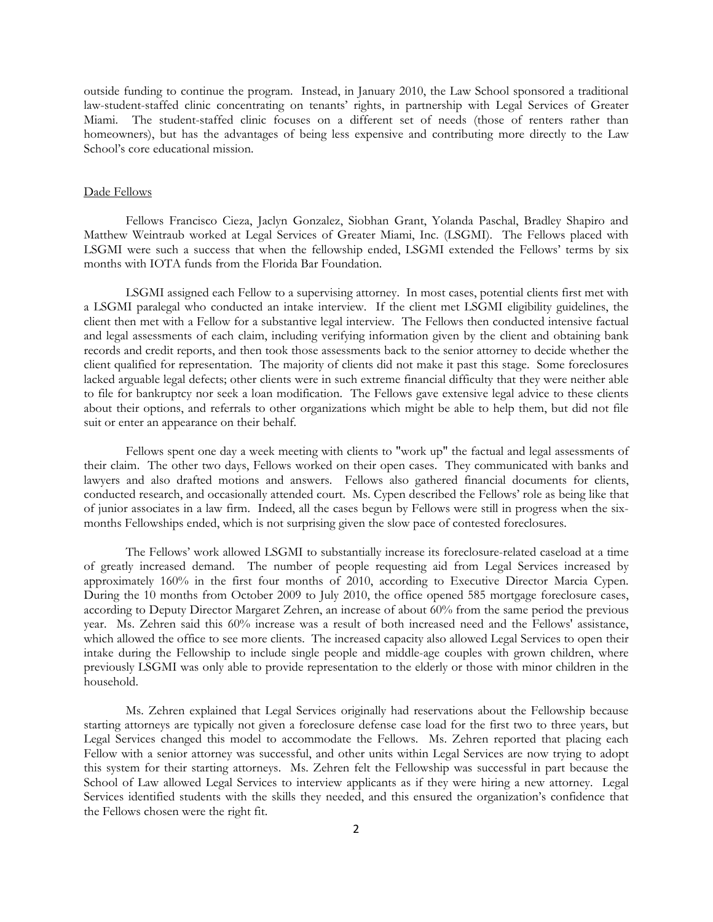outside funding to continue the program. Instead, in January 2010, the Law School sponsored a traditional law-student-staffed clinic concentrating on tenants' rights, in partnership with Legal Services of Greater Miami. The student-staffed clinic focuses on a different set of needs (those of renters rather than homeowners), but has the advantages of being less expensive and contributing more directly to the Law School's core educational mission.

### Dade Fellows

 Fellows Francisco Cieza, Jaclyn Gonzalez, Siobhan Grant, Yolanda Paschal, Bradley Shapiro and Matthew Weintraub worked at Legal Services of Greater Miami, Inc. (LSGMI). The Fellows placed with LSGMI were such a success that when the fellowship ended, LSGMI extended the Fellows' terms by six months with IOTA funds from the Florida Bar Foundation.

 LSGMI assigned each Fellow to a supervising attorney. In most cases, potential clients first met with a LSGMI paralegal who conducted an intake interview. If the client met LSGMI eligibility guidelines, the client then met with a Fellow for a substantive legal interview. The Fellows then conducted intensive factual and legal assessments of each claim, including verifying information given by the client and obtaining bank records and credit reports, and then took those assessments back to the senior attorney to decide whether the client qualified for representation. The majority of clients did not make it past this stage. Some foreclosures lacked arguable legal defects; other clients were in such extreme financial difficulty that they were neither able to file for bankruptcy nor seek a loan modification. The Fellows gave extensive legal advice to these clients about their options, and referrals to other organizations which might be able to help them, but did not file suit or enter an appearance on their behalf.

 Fellows spent one day a week meeting with clients to "work up" the factual and legal assessments of their claim. The other two days, Fellows worked on their open cases. They communicated with banks and lawyers and also drafted motions and answers. Fellows also gathered financial documents for clients, conducted research, and occasionally attended court. Ms. Cypen described the Fellows' role as being like that of junior associates in a law firm. Indeed, all the cases begun by Fellows were still in progress when the sixmonths Fellowships ended, which is not surprising given the slow pace of contested foreclosures.

 The Fellows' work allowed LSGMI to substantially increase its foreclosure-related caseload at a time of greatly increased demand. The number of people requesting aid from Legal Services increased by approximately 160% in the first four months of 2010, according to Executive Director Marcia Cypen. During the 10 months from October 2009 to July 2010, the office opened 585 mortgage foreclosure cases, according to Deputy Director Margaret Zehren, an increase of about 60% from the same period the previous year. Ms. Zehren said this 60% increase was a result of both increased need and the Fellows' assistance, which allowed the office to see more clients. The increased capacity also allowed Legal Services to open their intake during the Fellowship to include single people and middle-age couples with grown children, where previously LSGMI was only able to provide representation to the elderly or those with minor children in the household.

Ms. Zehren explained that Legal Services originally had reservations about the Fellowship because starting attorneys are typically not given a foreclosure defense case load for the first two to three years, but Legal Services changed this model to accommodate the Fellows. Ms. Zehren reported that placing each Fellow with a senior attorney was successful, and other units within Legal Services are now trying to adopt this system for their starting attorneys. Ms. Zehren felt the Fellowship was successful in part because the School of Law allowed Legal Services to interview applicants as if they were hiring a new attorney. Legal Services identified students with the skills they needed, and this ensured the organization's confidence that the Fellows chosen were the right fit.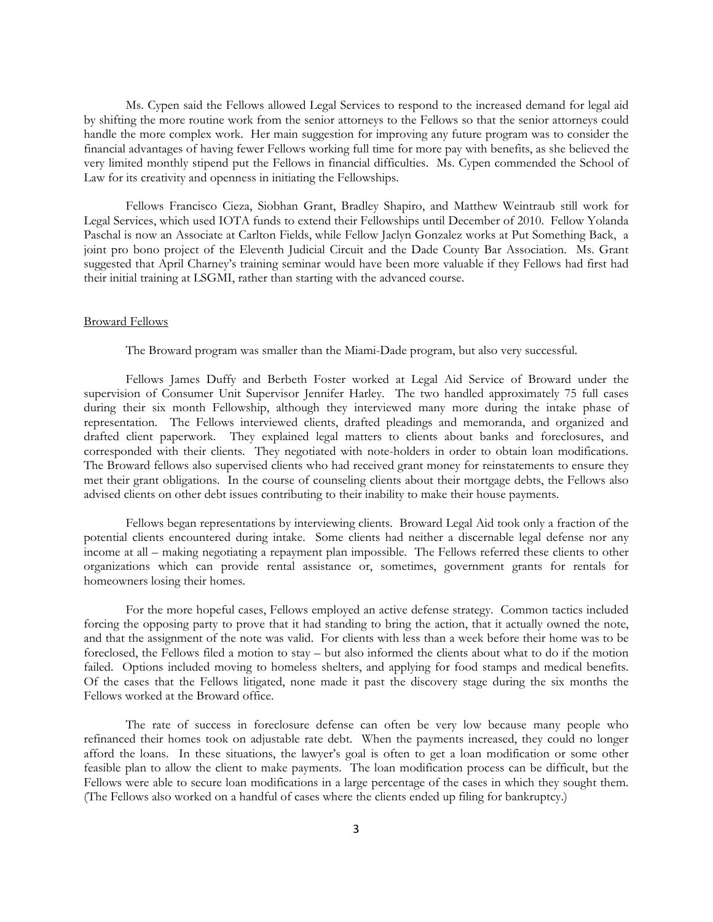Ms. Cypen said the Fellows allowed Legal Services to respond to the increased demand for legal aid by shifting the more routine work from the senior attorneys to the Fellows so that the senior attorneys could handle the more complex work. Her main suggestion for improving any future program was to consider the financial advantages of having fewer Fellows working full time for more pay with benefits, as she believed the very limited monthly stipend put the Fellows in financial difficulties. Ms. Cypen commended the School of Law for its creativity and openness in initiating the Fellowships.

Fellows Francisco Cieza, Siobhan Grant, Bradley Shapiro, and Matthew Weintraub still work for Legal Services, which used IOTA funds to extend their Fellowships until December of 2010. Fellow Yolanda Paschal is now an Associate at Carlton Fields, while Fellow Jaclyn Gonzalez works at Put Something Back, a joint pro bono project of the Eleventh Judicial Circuit and the Dade County Bar Association. Ms. Grant suggested that April Charney's training seminar would have been more valuable if they Fellows had first had their initial training at LSGMI, rather than starting with the advanced course.

### Broward Fellows

The Broward program was smaller than the Miami-Dade program, but also very successful.

 Fellows James Duffy and Berbeth Foster worked at Legal Aid Service of Broward under the supervision of Consumer Unit Supervisor Jennifer Harley. The two handled approximately 75 full cases during their six month Fellowship, although they interviewed many more during the intake phase of representation. The Fellows interviewed clients, drafted pleadings and memoranda, and organized and drafted client paperwork. They explained legal matters to clients about banks and foreclosures, and corresponded with their clients. They negotiated with note-holders in order to obtain loan modifications. The Broward fellows also supervised clients who had received grant money for reinstatements to ensure they met their grant obligations. In the course of counseling clients about their mortgage debts, the Fellows also advised clients on other debt issues contributing to their inability to make their house payments.

Fellows began representations by interviewing clients. Broward Legal Aid took only a fraction of the potential clients encountered during intake. Some clients had neither a discernable legal defense nor any income at all – making negotiating a repayment plan impossible. The Fellows referred these clients to other organizations which can provide rental assistance or, sometimes, government grants for rentals for homeowners losing their homes.

For the more hopeful cases, Fellows employed an active defense strategy. Common tactics included forcing the opposing party to prove that it had standing to bring the action, that it actually owned the note, and that the assignment of the note was valid. For clients with less than a week before their home was to be foreclosed, the Fellows filed a motion to stay – but also informed the clients about what to do if the motion failed. Options included moving to homeless shelters, and applying for food stamps and medical benefits. Of the cases that the Fellows litigated, none made it past the discovery stage during the six months the Fellows worked at the Broward office.

The rate of success in foreclosure defense can often be very low because many people who refinanced their homes took on adjustable rate debt. When the payments increased, they could no longer afford the loans. In these situations, the lawyer's goal is often to get a loan modification or some other feasible plan to allow the client to make payments. The loan modification process can be difficult, but the Fellows were able to secure loan modifications in a large percentage of the cases in which they sought them. (The Fellows also worked on a handful of cases where the clients ended up filing for bankruptcy.)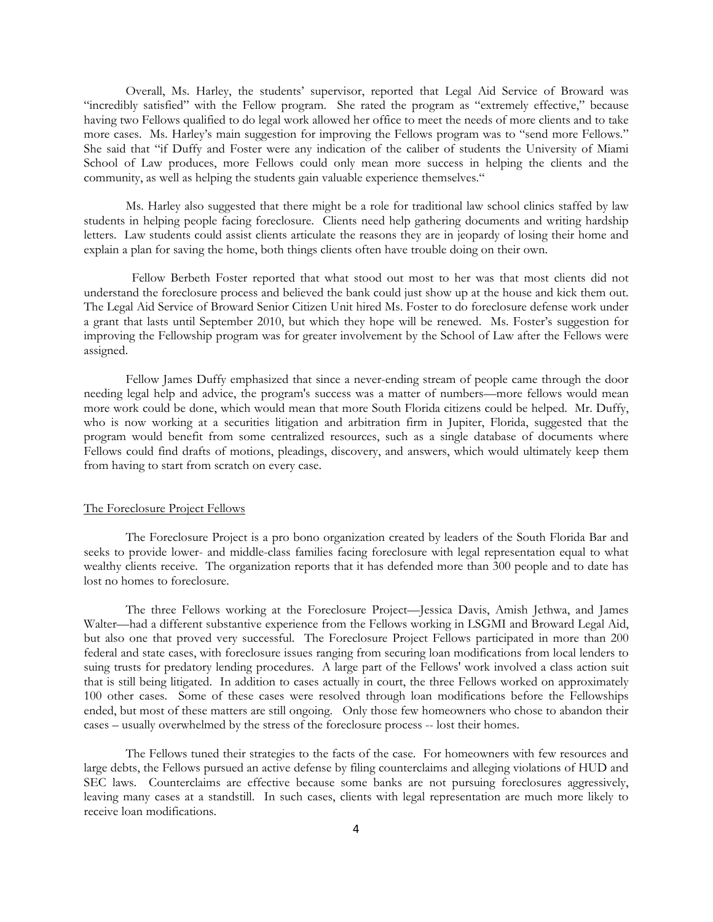Overall, Ms. Harley, the students' supervisor, reported that Legal Aid Service of Broward was "incredibly satisfied" with the Fellow program. She rated the program as "extremely effective," because having two Fellows qualified to do legal work allowed her office to meet the needs of more clients and to take more cases. Ms. Harley's main suggestion for improving the Fellows program was to "send more Fellows." She said that "if Duffy and Foster were any indication of the caliber of students the University of Miami School of Law produces, more Fellows could only mean more success in helping the clients and the community, as well as helping the students gain valuable experience themselves."

 Ms. Harley also suggested that there might be a role for traditional law school clinics staffed by law students in helping people facing foreclosure. Clients need help gathering documents and writing hardship letters. Law students could assist clients articulate the reasons they are in jeopardy of losing their home and explain a plan for saving the home, both things clients often have trouble doing on their own.

 Fellow Berbeth Foster reported that what stood out most to her was that most clients did not understand the foreclosure process and believed the bank could just show up at the house and kick them out. The Legal Aid Service of Broward Senior Citizen Unit hired Ms. Foster to do foreclosure defense work under a grant that lasts until September 2010, but which they hope will be renewed. Ms. Foster's suggestion for improving the Fellowship program was for greater involvement by the School of Law after the Fellows were assigned.

Fellow James Duffy emphasized that since a never-ending stream of people came through the door needing legal help and advice, the program's success was a matter of numbers—more fellows would mean more work could be done, which would mean that more South Florida citizens could be helped. Mr. Duffy, who is now working at a securities litigation and arbitration firm in Jupiter, Florida, suggested that the program would benefit from some centralized resources, such as a single database of documents where Fellows could find drafts of motions, pleadings, discovery, and answers, which would ultimately keep them from having to start from scratch on every case.

### The Foreclosure Project Fellows

The Foreclosure Project is a pro bono organization created by leaders of the South Florida Bar and seeks to provide lower- and middle-class families facing foreclosure with legal representation equal to what wealthy clients receive. The organization reports that it has defended more than 300 people and to date has lost no homes to foreclosure.

The three Fellows working at the Foreclosure Project—Jessica Davis, Amish Jethwa, and James Walter—had a different substantive experience from the Fellows working in LSGMI and Broward Legal Aid, but also one that proved very successful. The Foreclosure Project Fellows participated in more than 200 federal and state cases, with foreclosure issues ranging from securing loan modifications from local lenders to suing trusts for predatory lending procedures. A large part of the Fellows' work involved a class action suit that is still being litigated. In addition to cases actually in court, the three Fellows worked on approximately 100 other cases. Some of these cases were resolved through loan modifications before the Fellowships ended, but most of these matters are still ongoing. Only those few homeowners who chose to abandon their cases – usually overwhelmed by the stress of the foreclosure process -- lost their homes.

The Fellows tuned their strategies to the facts of the case. For homeowners with few resources and large debts, the Fellows pursued an active defense by filing counterclaims and alleging violations of HUD and SEC laws. Counterclaims are effective because some banks are not pursuing foreclosures aggressively, leaving many cases at a standstill. In such cases, clients with legal representation are much more likely to receive loan modifications.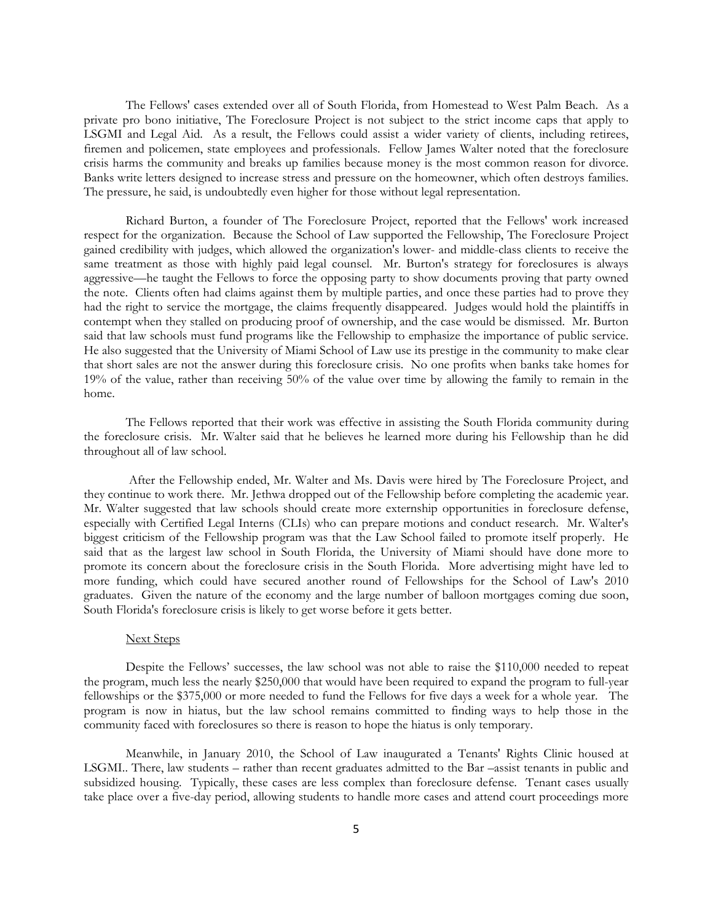The Fellows' cases extended over all of South Florida, from Homestead to West Palm Beach. As a private pro bono initiative, The Foreclosure Project is not subject to the strict income caps that apply to LSGMI and Legal Aid. As a result, the Fellows could assist a wider variety of clients, including retirees, firemen and policemen, state employees and professionals. Fellow James Walter noted that the foreclosure crisis harms the community and breaks up families because money is the most common reason for divorce. Banks write letters designed to increase stress and pressure on the homeowner, which often destroys families. The pressure, he said, is undoubtedly even higher for those without legal representation.

Richard Burton, a founder of The Foreclosure Project, reported that the Fellows' work increased respect for the organization. Because the School of Law supported the Fellowship, The Foreclosure Project gained credibility with judges, which allowed the organization's lower- and middle-class clients to receive the same treatment as those with highly paid legal counsel. Mr. Burton's strategy for foreclosures is always aggressive—he taught the Fellows to force the opposing party to show documents proving that party owned the note. Clients often had claims against them by multiple parties, and once these parties had to prove they had the right to service the mortgage, the claims frequently disappeared. Judges would hold the plaintiffs in contempt when they stalled on producing proof of ownership, and the case would be dismissed. Mr. Burton said that law schools must fund programs like the Fellowship to emphasize the importance of public service. He also suggested that the University of Miami School of Law use its prestige in the community to make clear that short sales are not the answer during this foreclosure crisis. No one profits when banks take homes for 19% of the value, rather than receiving 50% of the value over time by allowing the family to remain in the home.

The Fellows reported that their work was effective in assisting the South Florida community during the foreclosure crisis. Mr. Walter said that he believes he learned more during his Fellowship than he did throughout all of law school.

 After the Fellowship ended, Mr. Walter and Ms. Davis were hired by The Foreclosure Project, and they continue to work there. Mr. Jethwa dropped out of the Fellowship before completing the academic year. Mr. Walter suggested that law schools should create more externship opportunities in foreclosure defense, especially with Certified Legal Interns (CLIs) who can prepare motions and conduct research. Mr. Walter's biggest criticism of the Fellowship program was that the Law School failed to promote itself properly. He said that as the largest law school in South Florida, the University of Miami should have done more to promote its concern about the foreclosure crisis in the South Florida. More advertising might have led to more funding, which could have secured another round of Fellowships for the School of Law's 2010 graduates. Given the nature of the economy and the large number of balloon mortgages coming due soon, South Florida's foreclosure crisis is likely to get worse before it gets better.

#### Next Steps

Despite the Fellows' successes, the law school was not able to raise the \$110,000 needed to repeat the program, much less the nearly \$250,000 that would have been required to expand the program to full-year fellowships or the \$375,000 or more needed to fund the Fellows for five days a week for a whole year. The program is now in hiatus, but the law school remains committed to finding ways to help those in the community faced with foreclosures so there is reason to hope the hiatus is only temporary.

Meanwhile, in January 2010, the School of Law inaugurated a Tenants' Rights Clinic housed at LSGMI.. There, law students – rather than recent graduates admitted to the Bar –assist tenants in public and subsidized housing. Typically, these cases are less complex than foreclosure defense. Tenant cases usually take place over a five-day period, allowing students to handle more cases and attend court proceedings more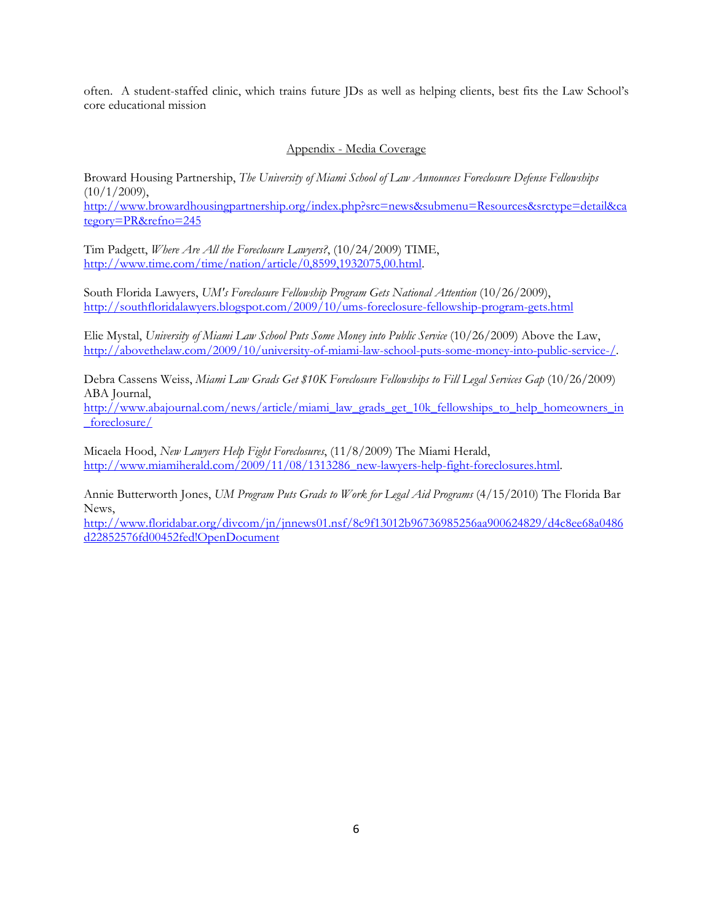often. A student-staffed clinic, which trains future JDs as well as helping clients, best fits the Law School's core educational mission

Appendix - Media Coverage

Broward Housing Partnership, *The University of Miami School of Law Announces Foreclosure Defense Fellowships*   $(10/1/2009),$ http://www.browardhousingpartnership.org/index.php?src=news&submenu=Resources&srctype=detail&ca tegory=PR&refno=245

Tim Padgett, *Where Are All the Foreclosure Lawyers?*, (10/24/2009) TIME, http://www.time.com/time/nation/article/0,8599,1932075,00.html.

South Florida Lawyers, *UM's Foreclosure Fellowship Program Gets National Attention* (10/26/2009), http://southfloridalawyers.blogspot.com/2009/10/ums-foreclosure-fellowship-program-gets.html

Elie Mystal, *University of Miami Law School Puts Some Money into Public Service* (10/26/2009) Above the Law, http://abovethelaw.com/2009/10/university-of-miami-law-school-puts-some-money-into-public-service-/.

Debra Cassens Weiss, *Miami Law Grads Get \$10K Foreclosure Fellowships to Fill Legal Services Gap* (10/26/2009) ABA Journal,

http://www.abajournal.com/news/article/miami\_law\_grads\_get\_10k\_fellowships\_to\_help\_homeowners\_in \_foreclosure/

Micaela Hood, *New Lawyers Help Fight Foreclosures*, (11/8/2009) The Miami Herald, http://www.miamiherald.com/2009/11/08/1313286\_new-lawyers-help-fight-foreclosures.html.

Annie Butterworth Jones, *UM Program Puts Grads to Work for Legal Aid Programs* (4/15/2010) The Florida Bar News,

http://www.floridabar.org/divcom/jn/jnnews01.nsf/8c9f13012b96736985256aa900624829/d4c8ee68a0486 d22852576fd00452fed!OpenDocument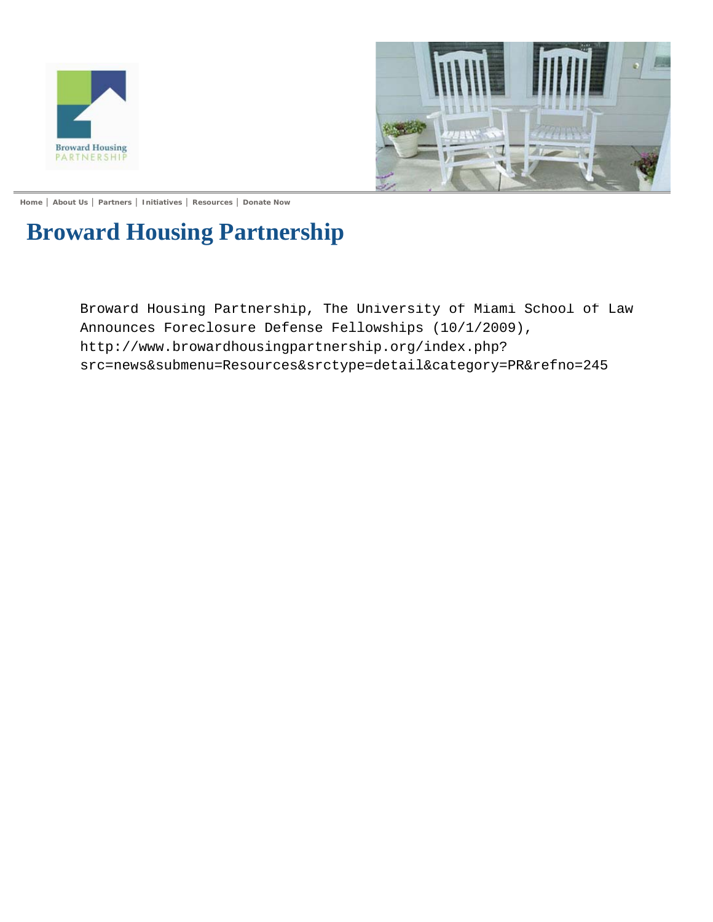



**Home** | **About Us** | **Partners** | **Initiatives** | **Resources** | **Donate Now**

# **Broward Housing Partnership**

Broward Housing Partnership, The University of Miami School of Law Announces Foreclosure Defense Fellowships (10/1/2009), http://www.browardhousingpartnership.org/index.php? src=news&submenu=Resources&srctype=detail&category=PR&refno=245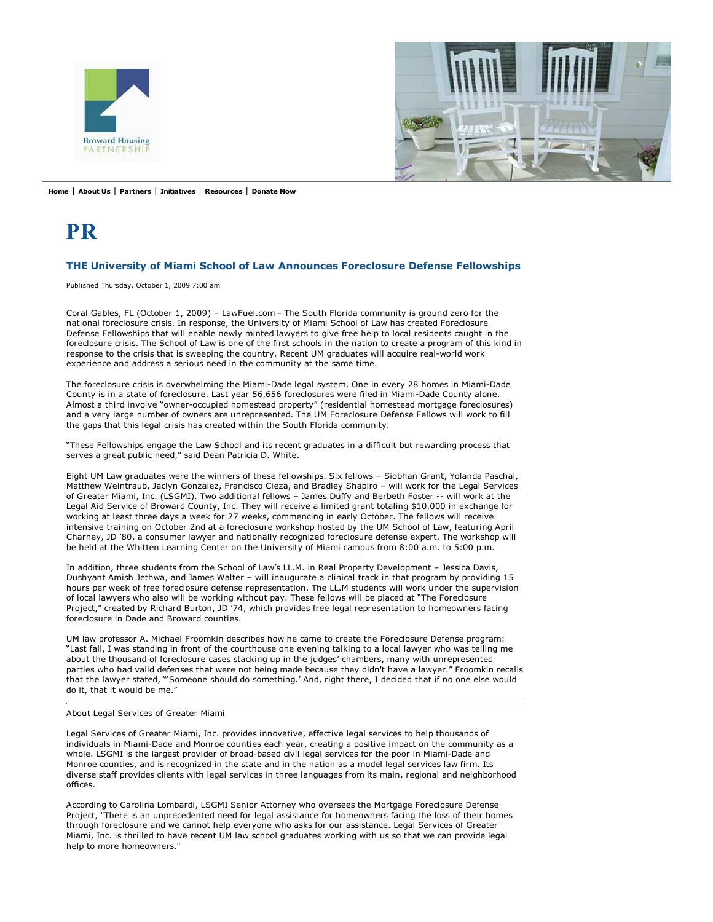



**Home** | **About Us** | **Partners** | **Initiatives** | **Resources** | **Donate Now**

# **PR**

#### **THE University of Miami School of Law Announces Foreclosure Defense Fellowships**

Published Thursday, October 1, 2009 7:00 am

Coral Gables, FL (October 1, 2009) – LawFuel.com - The South Florida community is ground zero for the national foreclosure crisis. In response, the University of Miami School of Law has created Foreclosure Defense Fellowships that will enable newly minted lawyers to give free help to local residents caught in the foreclosure crisis. The School of Law is one of the first schools in the nation to create a program of this kind in response to the crisis that is sweeping the country. Recent UM graduates will acquire real-world work experience and address a serious need in the community at the same time.

The foreclosure crisis is overwhelming the Miami-Dade legal system. One in every 28 homes in Miami-Dade County is in a state of foreclosure. Last year 56,656 foreclosures were filed in Miami-Dade County alone. Almost a third involve "owner-occupied homestead property" (residential homestead mortgage foreclosures) and a very large number of owners are unrepresented. The UM Foreclosure Defense Fellows will work to fill the gaps that this legal crisis has created within the South Florida community.

"These Fellowships engage the Law School and its recent graduates in a difficult but rewarding process that serves a great public need," said Dean Patricia D. White.

Eight UM Law graduates were the winners of these fellowships. Six fellows – Siobhan Grant, Yolanda Paschal, Matthew Weintraub, Jaclyn Gonzalez, Francisco Cieza, and Bradley Shapiro – will work for the Legal Services of Greater Miami, Inc. (LSGMI). Two additional fellows – James Duffy and Berbeth Foster -- will work at the Legal Aid Service of Broward County, Inc. They will receive a limited grant totaling \$10,000 in exchange for working at least three days a week for 27 weeks, commencing in early October. The fellows will receive intensive training on October 2nd at a foreclosure workshop hosted by the UM School of Law, featuring April Charney, JD '80, a consumer lawyer and nationally recognized foreclosure defense expert. The workshop will be held at the Whitten Learning Center on the University of Miami campus from 8:00 a.m. to 5:00 p.m.

In addition, three students from the School of Law's LL.M. in Real Property Development – Jessica Davis, Dushyant Amish Jethwa, and James Walter – will inaugurate a clinical track in that program by providing 15 hours per week of free foreclosure defense representation. The LL.M students will work under the supervision of local lawyers who also will be working without pay. These fellows will be placed at "The Foreclosure Project," created by Richard Burton, JD '74, which provides free legal representation to homeowners facing foreclosure in Dade and Broward counties.

UM law professor A. Michael Froomkin describes how he came to create the Foreclosure Defense program: "Last fall, I was standing in front of the courthouse one evening talking to a local lawyer who was telling me about the thousand of foreclosure cases stacking up in the judges' chambers, many with unrepresented parties who had valid defenses that were not being made because they didn't have a lawyer." Froomkin recalls that the lawyer stated, "'Someone should do something.' And, right there, I decided that if no one else would do it, that it would be me."

#### About Legal Services of Greater Miami

Legal Services of Greater Miami, Inc. provides innovative, effective legal services to help thousands of individuals in Miami-Dade and Monroe counties each year, creating a positive impact on the community as a whole. LSGMI is the largest provider of broad-based civil legal services for the poor in Miami-Dade and Monroe counties, and is recognized in the state and in the nation as a model legal services law firm. Its diverse staff provides clients with legal services in three languages from its main, regional and neighborhood offices.

According to Carolina Lombardi, LSGMI Senior Attorney who oversees the Mortgage Foreclosure Defense Project, "There is an unprecedented need for legal assistance for homeowners facing the loss of their homes through foreclosure and we cannot help everyone who asks for our assistance. Legal Services of Greater Miami, Inc. is thrilled to have recent UM law school graduates working with us so that we can provide legal help to more homeowners."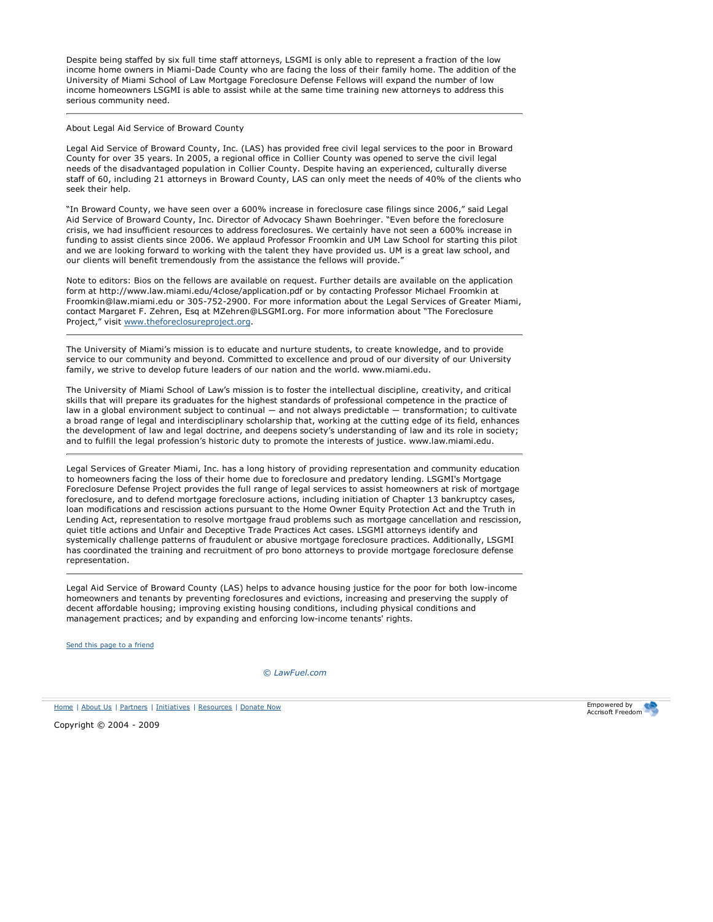Despite being staffed by six full time staff attorneys, LSGMI is only able to represent a fraction of the low income home owners in Miami-Dade County who are facing the loss of their family home. The addition of the University of Miami School of Law Mortgage Foreclosure Defense Fellows will expand the number of low income homeowners LSGMI is able to assist while at the same time training new attorneys to address this serious community need.

#### About Legal Aid Service of Broward County

Legal Aid Service of Broward County, Inc. (LAS) has provided free civil legal services to the poor in Broward County for over 35 years. In 2005, a regional office in Collier County was opened to serve the civil legal needs of the disadvantaged population in Collier County. Despite having an experienced, culturally diverse staff of 60, including 21 attorneys in Broward County, LAS can only meet the needs of 40% of the clients who seek their help.

"In Broward County, we have seen over a 600% increase in foreclosure case filings since 2006," said Legal Aid Service of Broward County, Inc. Director of Advocacy Shawn Boehringer. "Even before the foreclosure crisis, we had insufficient resources to address foreclosures. We certainly have not seen a 600% increase in funding to assist clients since 2006. We applaud Professor Froomkin and UM Law School for starting this pilot and we are looking forward to working with the talent they have provided us. UM is a great law school, and our clients will benefit tremendously from the assistance the fellows will provide."

Note to editors: Bios on the fellows are available on request. Further details are available on the application form at http://www.law.miami.edu/4close/application.pdf or by contacting Professor Michael Froomkin at Froomkin@law.miami.edu or 305-752-2900. For more information about the Legal Services of Greater Miami, contact Margaret F. Zehren, Esq at MZehren@LSGMI.org. For more information about "The Foreclosure Project," visit www.theforeclosureproject.org.

The University of Miami's mission is to educate and nurture students, to create knowledge, and to provide service to our community and beyond. Committed to excellence and proud of our diversity of our University family, we strive to develop future leaders of our nation and the world. www.miami.edu.

The University of Miami School of Law's mission is to foster the intellectual discipline, creativity, and critical skills that will prepare its graduates for the highest standards of professional competence in the practice of law in a global environment subject to continual — and not always predictable — transformation; to cultivate a broad range of legal and interdisciplinary scholarship that, working at the cutting edge of its field, enhances the development of law and legal doctrine, and deepens society's understanding of law and its role in society; and to fulfill the legal profession's historic duty to promote the interests of justice. www.law.miami.edu.

Legal Services of Greater Miami, Inc. has a long history of providing representation and community education to homeowners facing the loss of their home due to foreclosure and predatory lending. LSGMI's Mortgage Foreclosure Defense Project provides the full range of legal services to assist homeowners at risk of mortgage foreclosure, and to defend mortgage foreclosure actions, including initiation of Chapter 13 bankruptcy cases, loan modifications and rescission actions pursuant to the Home Owner Equity Protection Act and the Truth in Lending Act, representation to resolve mortgage fraud problems such as mortgage cancellation and rescission, quiet title actions and Unfair and Deceptive Trade Practices Act cases. LSGMI attorneys identify and systemically challenge patterns of fraudulent or abusive mortgage foreclosure practices. Additionally, LSGMI has coordinated the training and recruitment of pro bono attorneys to provide mortgage foreclosure defense representation.

Legal Aid Service of Broward County (LAS) helps to advance housing justice for the poor for both low-income homeowners and tenants by preventing foreclosures and evictions, increasing and preserving the supply of decent affordable housing; improving existing housing conditions, including physical conditions and management practices; and by expanding and enforcing low-income tenants' rights.

Send this page to a friend

*© LawFuel.com*

Home | About Us | Partners | Initiatives | Resources | Donate Now

Copyright © 2004 - 2009

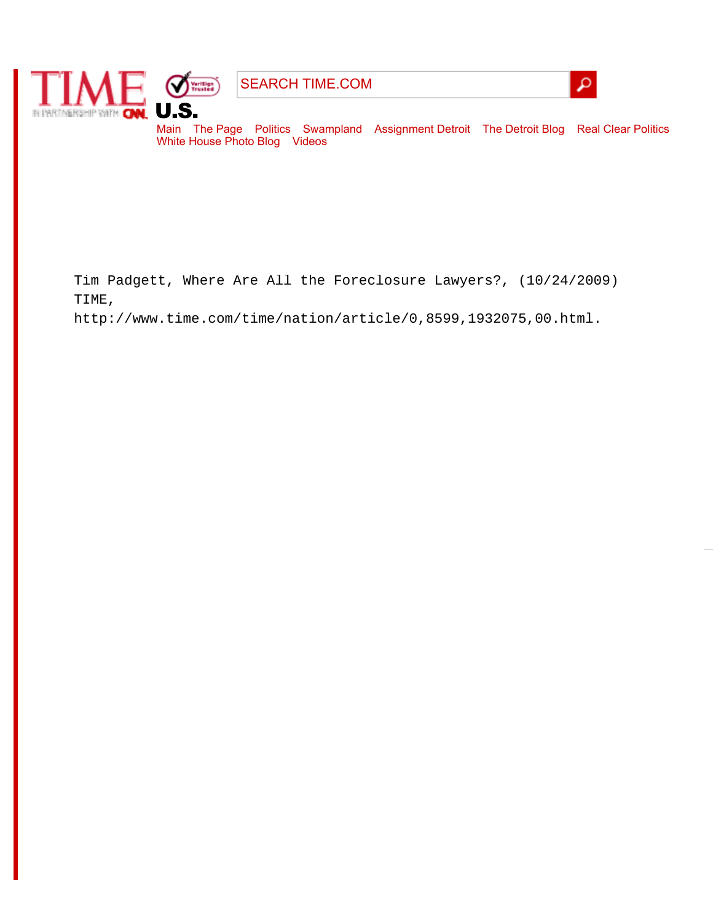

SEARCH TIME.COM



Main The Page Politics Swampland Assignment Detroit The Detroit Blog Real Clear Politics White House Photo Blog Videos

Tim Padgett, Where Are All the Foreclosure Lawyers?, (10/24/2009) TIME,

http://www.time.com/time/nation/article/0,8599,1932075,00.html.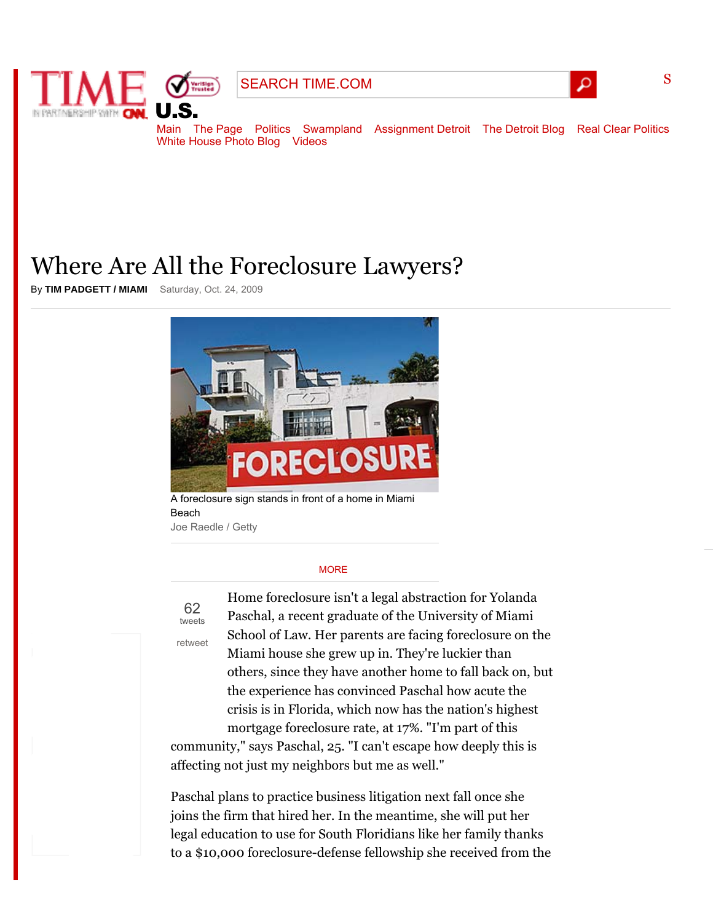

SEARCH TIME.COM



S

Main The Page Politics Swampland Assignment Detroit The Detroit Blog Real Clear Politics White House Photo Blog Videos

# Where Are All the Foreclosure Lawyers?

By **TIM PADGETT / MIAMI** Saturday, Oct. 24, 2009



A foreclosure sign stands in front of a home in Miami Beach Joe Raedle / Getty

#### **MORE**

62 tweets

retweet

Home foreclosure isn't a legal abstraction for Yolanda Paschal, a recent graduate of the University of Miami School of Law. Her parents are facing foreclosure on the Miami house she grew up in. They're luckier than others, since they have another home to fall back on, but the experience has convinced Paschal how acute the crisis is in Florida, which now has the nation's highest mortgage foreclosure rate, at 17%. "I'm part of this

community," says Paschal, 25. "I can't escape how deeply this is affecting not just my neighbors but me as well."

Paschal plans to practice business litigation next fall once she joins the firm that hired her. In the meantime, she will put her legal education to use for South Floridians like her family thanks to a \$10,000 foreclosure-defense fellowship she received from the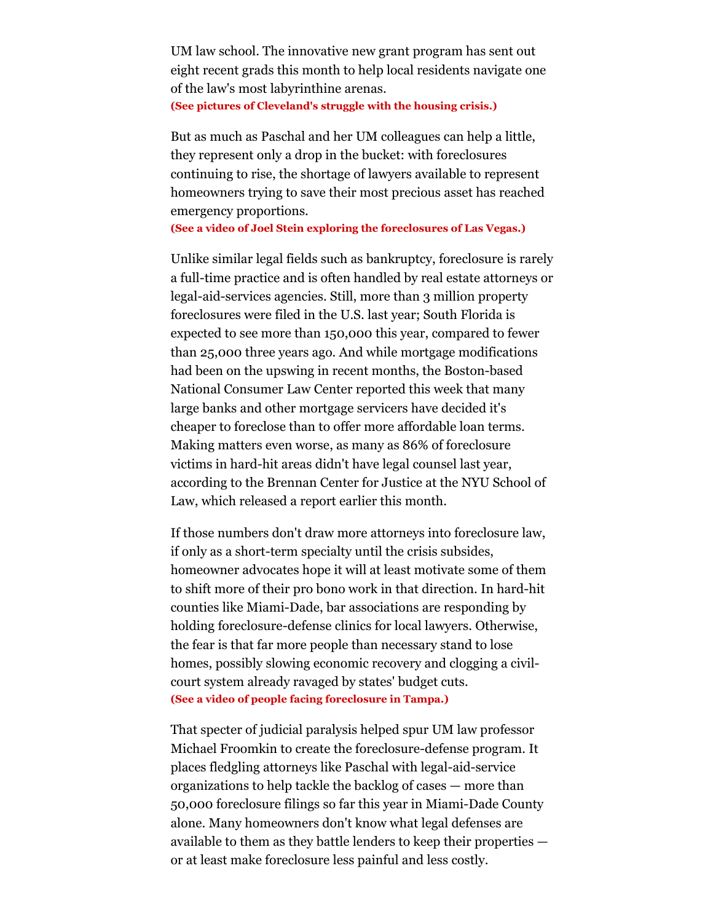UM law school. The innovative new grant program has sent out eight recent grads this month to help local residents navigate one of the law's most labyrinthine arenas. **(See pictures of Cleveland's struggle with the housing crisis.)**

But as much as Paschal and her UM colleagues can help a little, they represent only a drop in the bucket: with foreclosures continuing to rise, the shortage of lawyers available to represent homeowners trying to save their most precious asset has reached emergency proportions.

**(See a video of Joel Stein exploring the foreclosures of Las Vegas.)**

Unlike similar legal fields such as bankruptcy, foreclosure is rarely a full-time practice and is often handled by real estate attorneys or legal-aid-services agencies. Still, more than 3 million property foreclosures were filed in the U.S. last year; South Florida is expected to see more than 150,000 this year, compared to fewer than 25,000 three years ago. And while mortgage modifications had been on the upswing in recent months, the Boston-based National Consumer Law Center reported this week that many large banks and other mortgage servicers have decided it's cheaper to foreclose than to offer more affordable loan terms. Making matters even worse, as many as 86% of foreclosure victims in hard-hit areas didn't have legal counsel last year, according to the Brennan Center for Justice at the NYU School of Law, which released a report earlier this month.

If those numbers don't draw more attorneys into foreclosure law, if only as a short-term specialty until the crisis subsides, homeowner advocates hope it will at least motivate some of them to shift more of their pro bono work in that direction. In hard-hit counties like Miami-Dade, bar associations are responding by holding foreclosure-defense clinics for local lawyers. Otherwise, the fear is that far more people than necessary stand to lose homes, possibly slowing economic recovery and clogging a civilcourt system already ravaged by states' budget cuts. **(See a video of people facing foreclosure in Tampa.)**

That specter of judicial paralysis helped spur UM law professor Michael Froomkin to create the foreclosure-defense program. It places fledgling attorneys like Paschal with legal-aid-service organizations to help tackle the backlog of cases — more than 50,000 foreclosure filings so far this year in Miami-Dade County alone. Many homeowners don't know what legal defenses are available to them as they battle lenders to keep their properties or at least make foreclosure less painful and less costly.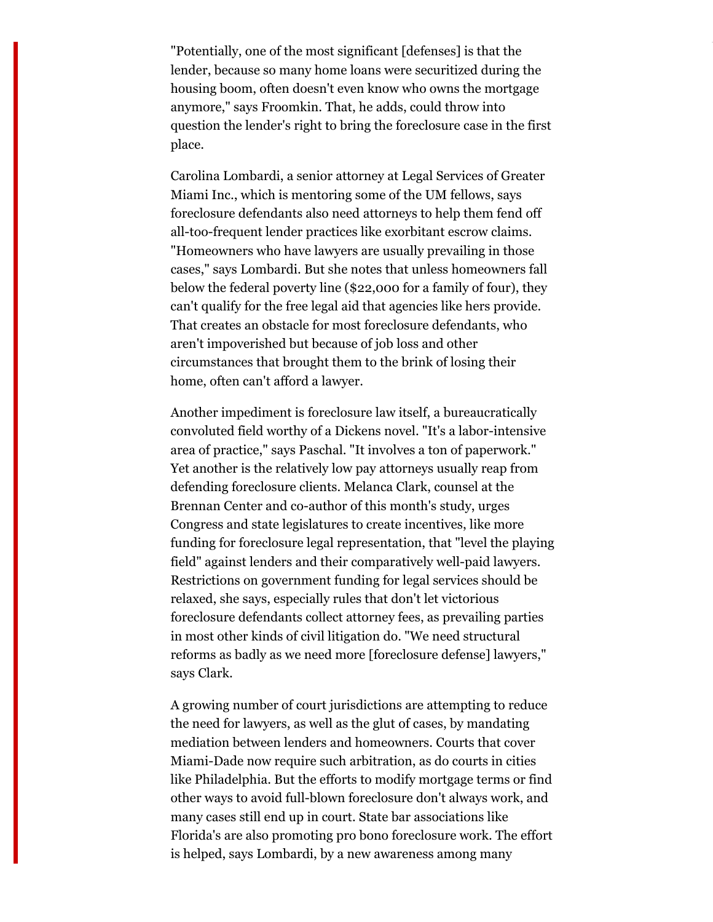"Potentially, one of the most significant [defenses] is that the lender, because so many home loans were securitized during the housing boom, often doesn't even know who owns the mortgage anymore," says Froomkin. That, he adds, could throw into question the lender's right to bring the foreclosure case in the first place.

Carolina Lombardi, a senior attorney at Legal Services of Greater Miami Inc., which is mentoring some of the UM fellows, says foreclosure defendants also need attorneys to help them fend off all-too-frequent lender practices like exorbitant escrow claims. "Homeowners who have lawyers are usually prevailing in those cases," says Lombardi. But she notes that unless homeowners fall below the federal poverty line (\$22,000 for a family of four), they can't qualify for the free legal aid that agencies like hers provide. That creates an obstacle for most foreclosure defendants, who aren't impoverished but because of job loss and other circumstances that brought them to the brink of losing their home, often can't afford a lawyer.

Another impediment is foreclosure law itself, a bureaucratically convoluted field worthy of a Dickens novel. "It's a labor-intensive area of practice," says Paschal. "It involves a ton of paperwork." Yet another is the relatively low pay attorneys usually reap from defending foreclosure clients. Melanca Clark, counsel at the Brennan Center and co-author of this month's study, urges Congress and state legislatures to create incentives, like more funding for foreclosure legal representation, that "level the playing field" against lenders and their comparatively well-paid lawyers. Restrictions on government funding for legal services should be relaxed, she says, especially rules that don't let victorious foreclosure defendants collect attorney fees, as prevailing parties in most other kinds of civil litigation do. "We need structural reforms as badly as we need more [foreclosure defense] lawyers," says Clark.

A growing number of court jurisdictions are attempting to reduce the need for lawyers, as well as the glut of cases, by mandating mediation between lenders and homeowners. Courts that cover Miami-Dade now require such arbitration, as do courts in cities like Philadelphia. But the efforts to modify mortgage terms or find other ways to avoid full-blown foreclosure don't always work, and many cases still end up in court. State bar associations like Florida's are also promoting pro bono foreclosure work. The effort is helped, says Lombardi, by a new awareness among many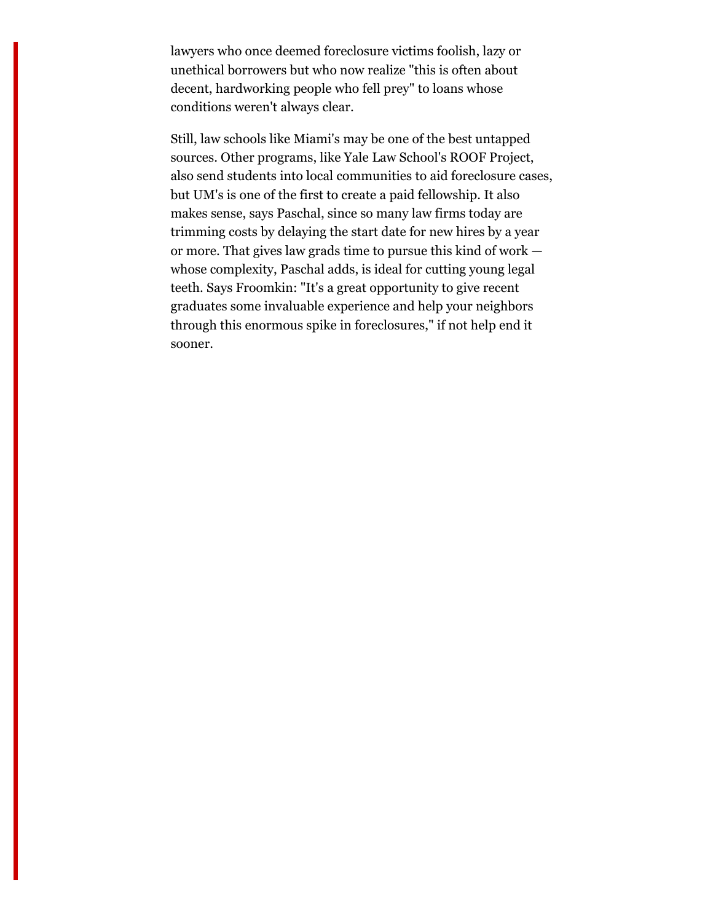lawyers who once deemed foreclosure victims foolish, lazy or unethical borrowers but who now realize "this is often about decent, hardworking people who fell prey" to loans whose conditions weren't always clear.

Still, law schools like Miami's may be one of the best untapped sources. Other programs, like Yale Law School's ROOF Project, also send students into local communities to aid foreclosure cases, but UM's is one of the first to create a paid fellowship. It also makes sense, says Paschal, since so many law firms today are trimming costs by delaying the start date for new hires by a year or more. That gives law grads time to pursue this kind of work whose complexity, Paschal adds, is ideal for cutting young legal teeth. Says Froomkin: "It's a great opportunity to give recent graduates some invaluable experience and help your neighbors through this enormous spike in foreclosures," if not help end it sooner.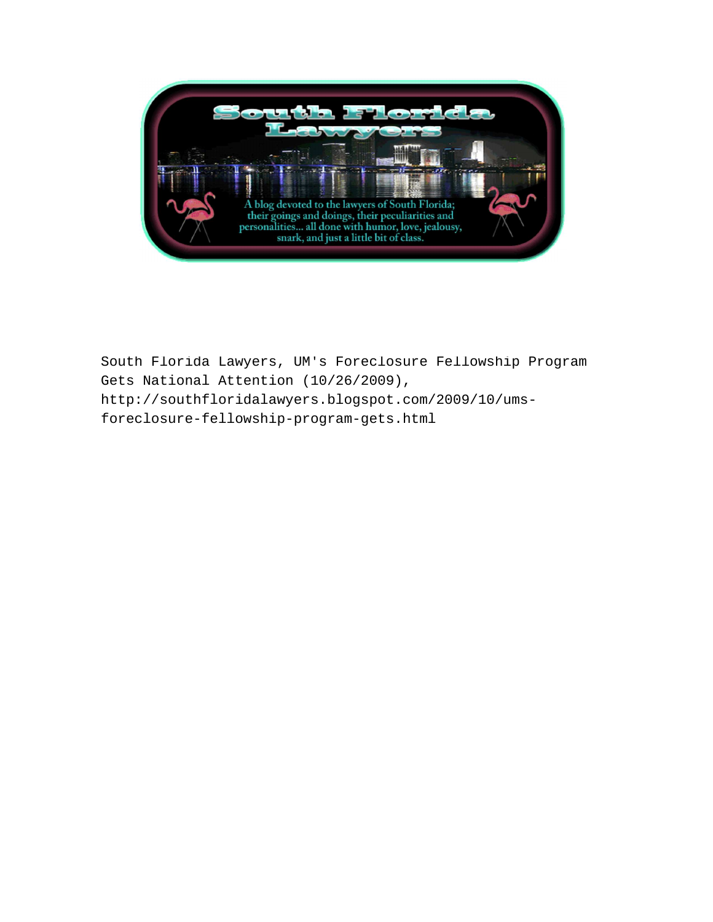

South Florida Lawyers, UM's Foreclosure Fellowship Program Gets National Attention (10/26/2009), http://southfloridalawyers.blogspot.com/2009/10/umsforeclosure-fellowship-program-gets.html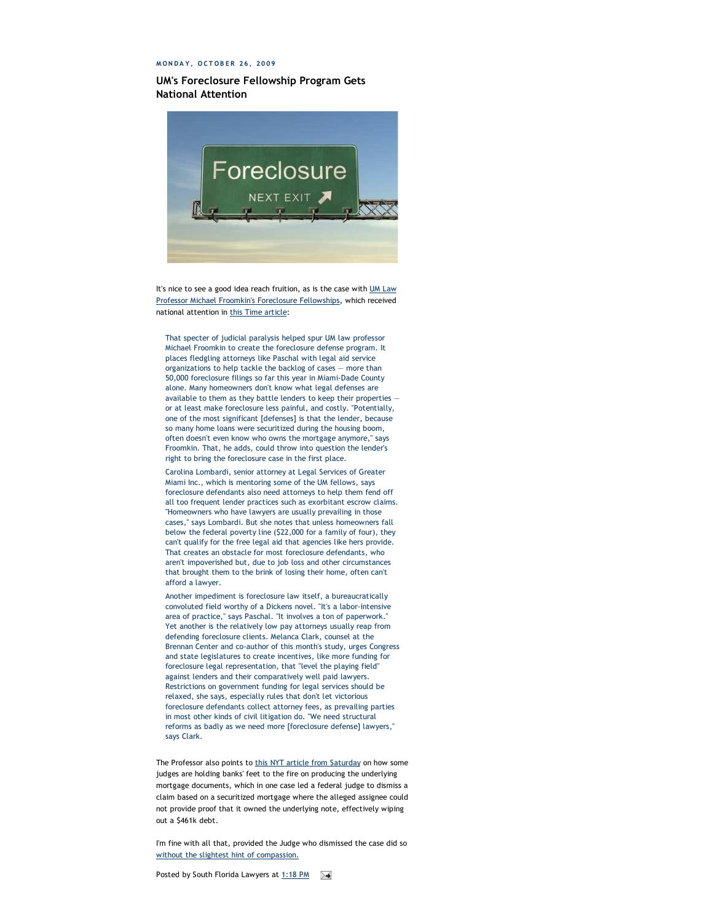#### **M O N D A Y , O C T O B E R 2 6 , 2 0 0 9**

#### **UM's Foreclosure Fellowship Program Gets National Attention**



It's nice to see a good idea reach fruition, as is the case with UM Law Professor Michael Froomkin's Foreclosure Fellowships, which received national attention in this Time article:

That specter of judicial paralysis helped spur UM law professor Michael Froomkin to create the foreclosure defense program. It places fledgling attorneys like Paschal with legal aid service organizations to help tackle the backlog of cases — more than 50,000 foreclosure filings so far this year in Miami-Dade County alone. Many homeowners don't know what legal defenses are available to them as they battle lenders to keep their properties or at least make foreclosure less painful, and costly. "Potentially, one of the most significant [defenses] is that the lender, because so many home loans were securitized during the housing boom, often doesn't even know who owns the mortgage anymore," says Froomkin. That, he adds, could throw into question the lender's right to bring the foreclosure case in the first place.

Carolina Lombardi, senior attorney at Legal Services of Greater Miami Inc., which is mentoring some of the UM fellows, says foreclosure defendants also need attorneys to help them fend off all too frequent lender practices such as exorbitant escrow claims. "Homeowners who have lawyers are usually prevailing in those cases," says Lombardi. But she notes that unless homeowners fall below the federal poverty line (\$22,000 for a family of four), they can't qualify for the free legal aid that agencies like hers provide. That creates an obstacle for most foreclosure defendants, who aren't impoverished but, due to job loss and other circumstances that brought them to the brink of losing their home, often can't afford a lawyer.

Another impediment is foreclosure law itself, a bureaucratically convoluted field worthy of a Dickens novel. "It's a labor-intensive area of practice," says Paschal. "It involves a ton of paperwork." Yet another is the relatively low pay attorneys usually reap from defending foreclosure clients. Melanca Clark, counsel at the Brennan Center and co-author of this month's study, urges Congress and state legislatures to create incentives, like more funding for foreclosure legal representation, that "level the playing field" against lenders and their comparatively well paid lawyers. Restrictions on government funding for legal services should be relaxed, she says, especially rules that don't let victorious foreclosure defendants collect attorney fees, as prevailing parties in most other kinds of civil litigation do. "We need structural reforms as badly as we need more [foreclosure defense] lawyers," says Clark.

The Professor also points to this NYT article from Saturday on how some judges are holding banks' feet to the fire on producing the underlying mortgage documents, which in one case led a federal judge to dismiss a claim based on a securitized mortgage where the alleged assignee could not provide proof that it owned the underlying note, effectively wiping out a \$461k debt.

I'm fine with all that, provided the Judge who dismissed the case did so without the slightest hint of compassion.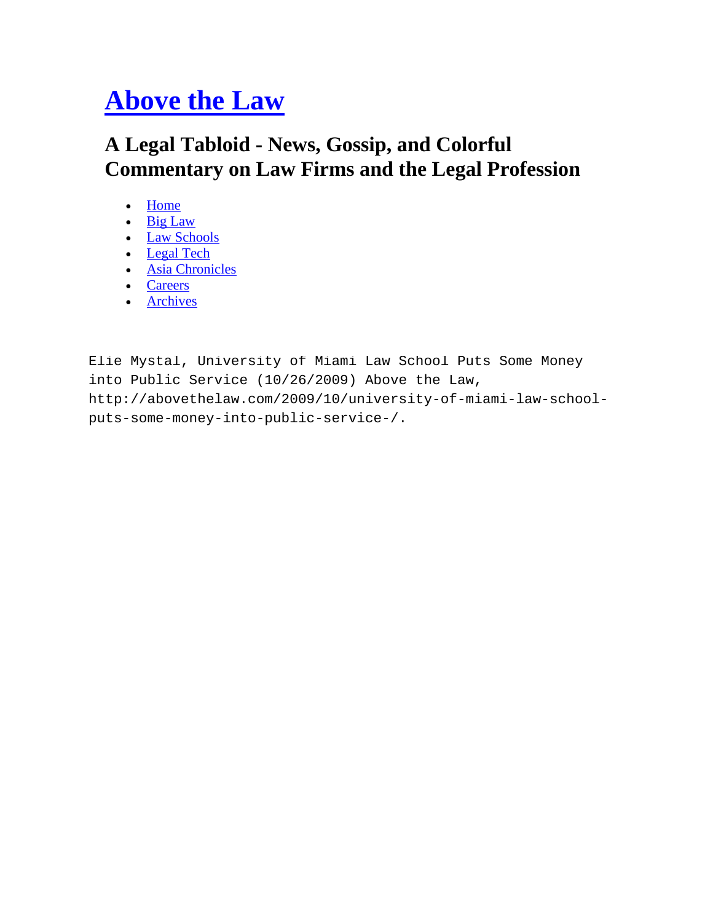# **Above the Law**

## **A Legal Tabloid - News, Gossip, and Colorful Commentary on Law Firms and the Legal Profession**

- Home
- Big Law
- Law Schools
- Legal Tech
- Asia Chronicles
- Careers
- Archives

Elie Mystal, University of Miami Law School Puts Some Money into Public Service (10/26/2009) Above the Law, http://abovethelaw.com/2009/10/university-of-miami-law-schoolputs-some-money-into-public-service-/.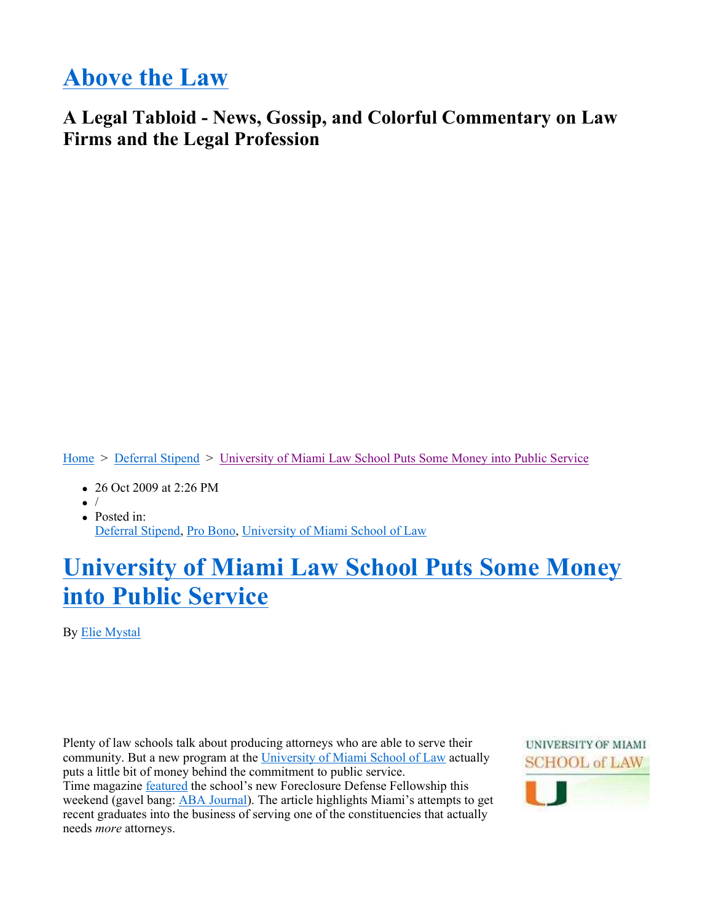# **Above the Law**

## **A Legal Tabloid - News, Gossip, and Colorful Commentary on Law Firms and the Legal Profession**

Home > Deferral Stipend > University of Miami Law School Puts Some Money into Public Service

- 26 Oct 2009 at 2:26 PM
- $\bullet$  /
- Posted in: Deferral Stipend, Pro Bono, University of Miami School of Law

# **University of Miami Law School Puts Some Money into Public Service**

By Elie Mystal

Plenty of law schools talk about producing attorneys who are able to serve their community. But a new program at the University of Miami School of Law actually puts a little bit of money behind the commitment to public service. Time magazine featured the school's new Foreclosure Defense Fellowship this weekend (gavel bang: ABA Journal). The article highlights Miami's attempts to get recent graduates into the business of serving one of the constituencies that actually needs *more* attorneys.

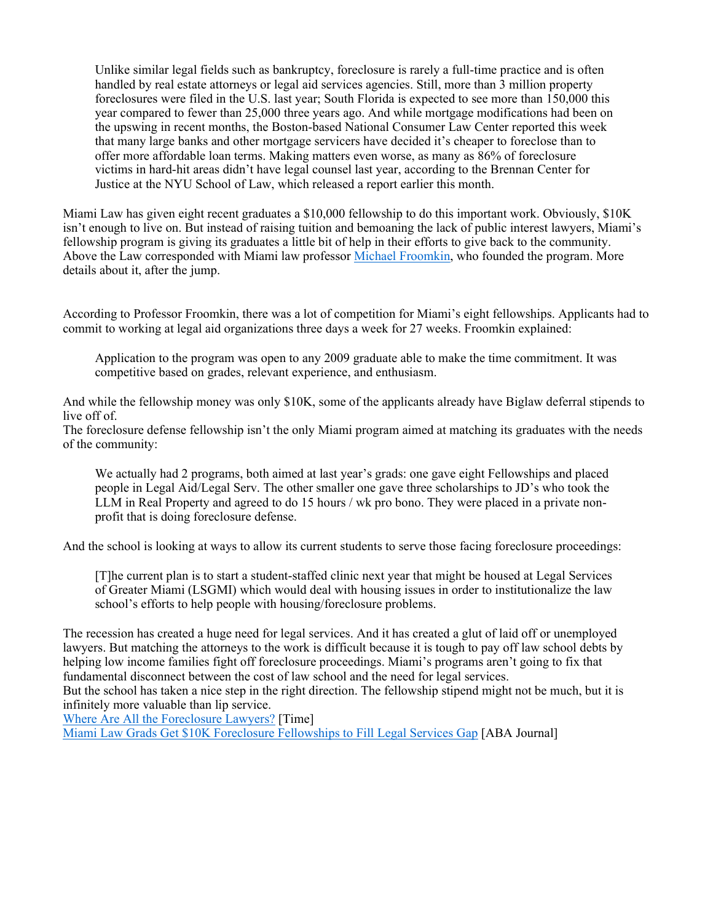Unlike similar legal fields such as bankruptcy, foreclosure is rarely a full-time practice and is often handled by real estate attorneys or legal aid services agencies. Still, more than 3 million property foreclosures were filed in the U.S. last year; South Florida is expected to see more than 150,000 this year compared to fewer than 25,000 three years ago. And while mortgage modifications had been on the upswing in recent months, the Boston-based National Consumer Law Center reported this week that many large banks and other mortgage servicers have decided it's cheaper to foreclose than to offer more affordable loan terms. Making matters even worse, as many as 86% of foreclosure victims in hard-hit areas didn't have legal counsel last year, according to the Brennan Center for Justice at the NYU School of Law, which released a report earlier this month.

Miami Law has given eight recent graduates a \$10,000 fellowship to do this important work. Obviously, \$10K isn't enough to live on. But instead of raising tuition and bemoaning the lack of public interest lawyers, Miami's fellowship program is giving its graduates a little bit of help in their efforts to give back to the community. Above the Law corresponded with Miami law professor Michael Froomkin, who founded the program. More details about it, after the jump.

According to Professor Froomkin, there was a lot of competition for Miami's eight fellowships. Applicants had to commit to working at legal aid organizations three days a week for 27 weeks. Froomkin explained:

Application to the program was open to any 2009 graduate able to make the time commitment. It was competitive based on grades, relevant experience, and enthusiasm.

And while the fellowship money was only \$10K, some of the applicants already have Biglaw deferral stipends to live off of.

The foreclosure defense fellowship isn't the only Miami program aimed at matching its graduates with the needs of the community:

We actually had 2 programs, both aimed at last year's grads: one gave eight Fellowships and placed people in Legal Aid/Legal Serv. The other smaller one gave three scholarships to JD's who took the LLM in Real Property and agreed to do 15 hours / wk pro bono. They were placed in a private nonprofit that is doing foreclosure defense.

And the school is looking at ways to allow its current students to serve those facing foreclosure proceedings:

[T]he current plan is to start a student-staffed clinic next year that might be housed at Legal Services of Greater Miami (LSGMI) which would deal with housing issues in order to institutionalize the law school's efforts to help people with housing/foreclosure problems.

The recession has created a huge need for legal services. And it has created a glut of laid off or unemployed lawyers. But matching the attorneys to the work is difficult because it is tough to pay off law school debts by helping low income families fight off foreclosure proceedings. Miami's programs aren't going to fix that fundamental disconnect between the cost of law school and the need for legal services.

But the school has taken a nice step in the right direction. The fellowship stipend might not be much, but it is infinitely more valuable than lip service.

Where Are All the Foreclosure Lawyers? [Time]

Miami Law Grads Get \$10K Foreclosure Fellowships to Fill Legal Services Gap [ABA Journal]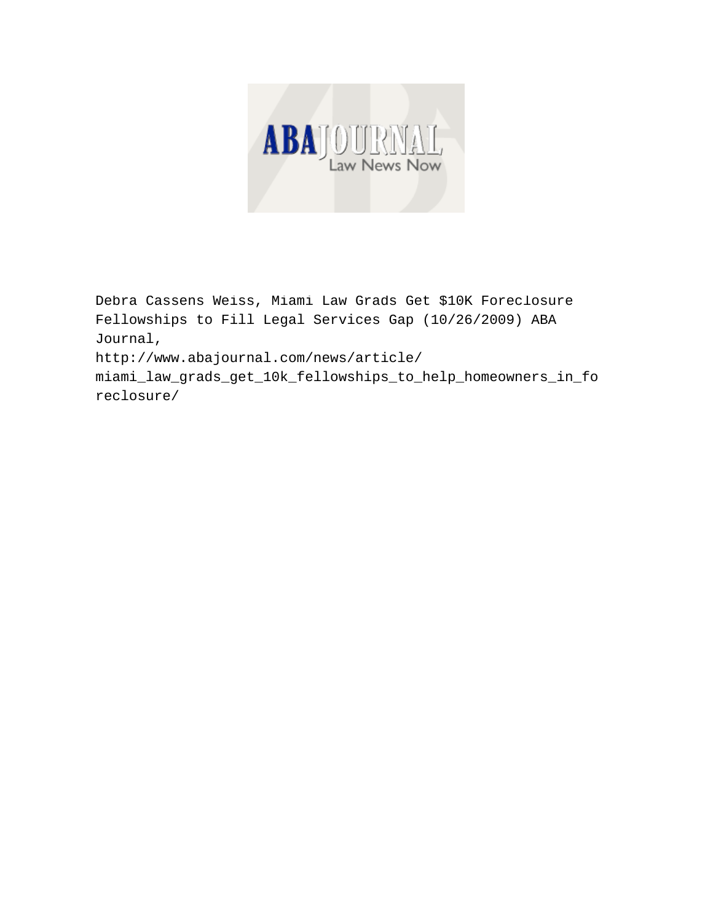

Debra Cassens Weiss, Miami Law Grads Get \$10K Foreclosure Fellowships to Fill Legal Services Gap (10/26/2009) ABA Journal, http://www.abajournal.com/news/article/

miami\_law\_grads\_get\_10k\_fellowships\_to\_help\_homeowners\_in\_fo reclosure/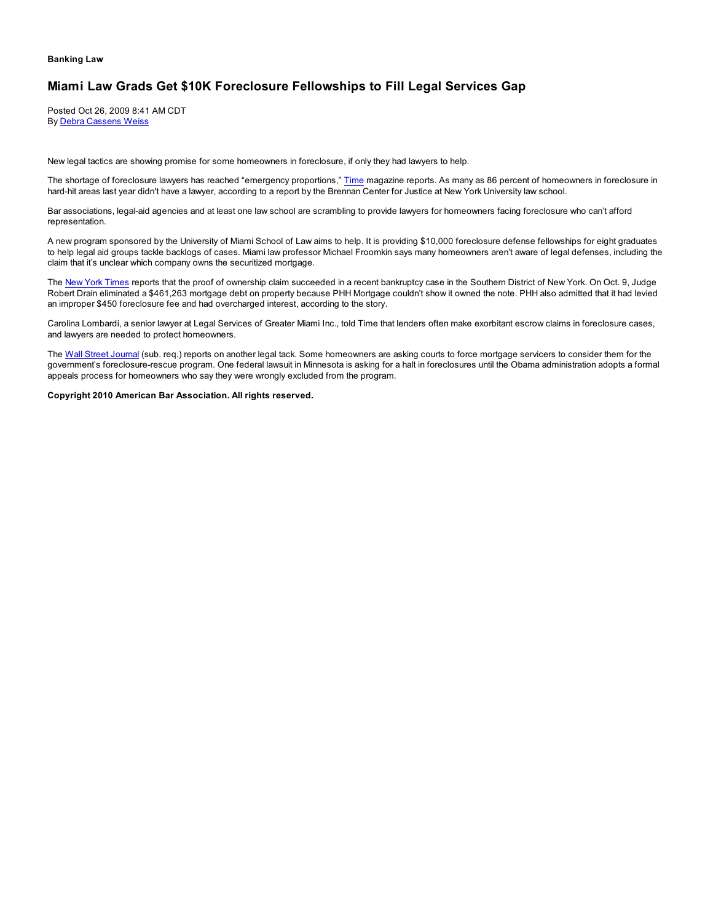#### **Banking Law**

## **Miami Law Grads Get \$10K Foreclosure Fellowships to Fill Legal Services Gap**

Posted Oct 26, 2009 8:41 AM CDT By Debra Cassens Weiss

New legal tactics are showing promise for some homeowners in foreclosure, if only they had lawyers to help.

The shortage of foreclosure lawyers has reached "emergency proportions," Time magazine reports. As many as 86 percent of homeowners in foreclosure in hard-hit areas last year didn't have a lawyer, according to a report by the Brennan Center for Justice at New York University law school.

Bar associations, legal-aid agencies and at least one law school are scrambling to provide lawyers for homeowners facing foreclosure who can't afford representation.

A new program sponsored by the University of Miami School of Law aims to help. It is providing \$10,000 foreclosure defense fellowships for eight graduates to help legal aid groups tackle backlogs of cases. Miami law professor Michael Froomkin says many homeowners aren't aware of legal defenses, including the claim that it's unclear which company owns the securitized mortgage.

The New York Times reports that the proof of ownership claim succeeded in a recent bankruptcy case in the Southern District of New York. On Oct. 9, Judge Robert Drain eliminated a \$461,263 mortgage debt on property because PHH Mortgage couldn't show it owned the note. PHH also admitted that it had levied an improper \$450 foreclosure fee and had overcharged interest, according to the story.

Carolina Lombardi, a senior lawyer at Legal Services of Greater Miami Inc., told Time that lenders often make exorbitant escrow claims in foreclosure cases, and lawyers are needed to protect homeowners.

The Wall Street Journal (sub. req.) reports on another legal tack. Some homeowners are asking courts to force mortgage servicers to consider them for the government's foreclosure-rescue program. One federal lawsuit in Minnesota is asking for a halt in foreclosures until the Obama administration adopts a formal appeals process for homeowners who say they were wrongly excluded from the program.

**Copyright 2010 American Bar Association. All rights reserved.**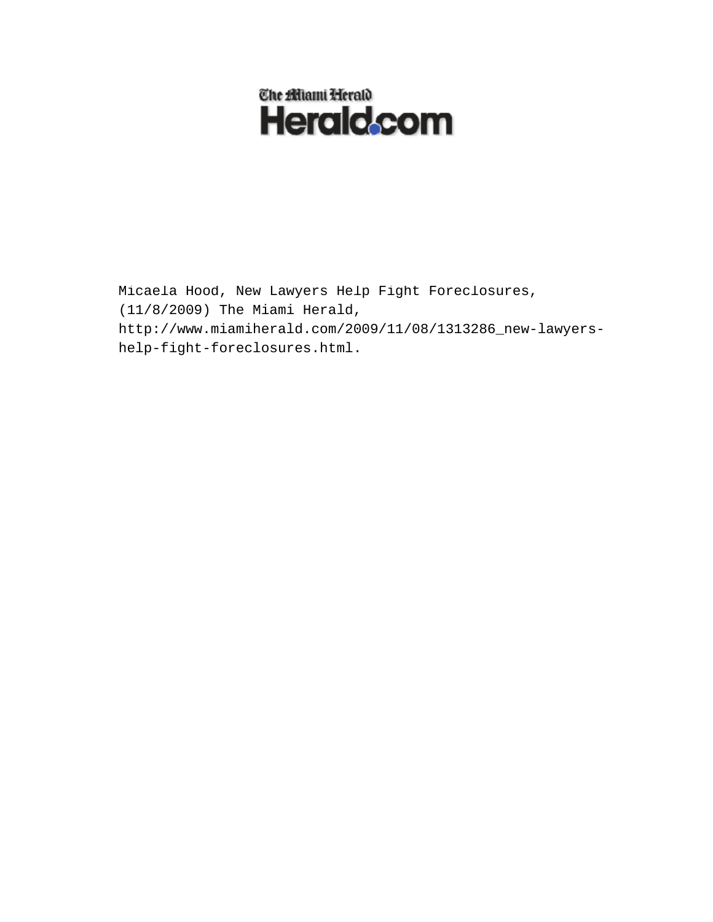

Micaela Hood, New Lawyers Help Fight Foreclosures, (11/8/2009) The Miami Herald, http://www.miamiherald.com/2009/11/08/1313286\_new-lawyershelp-fight-foreclosures.html.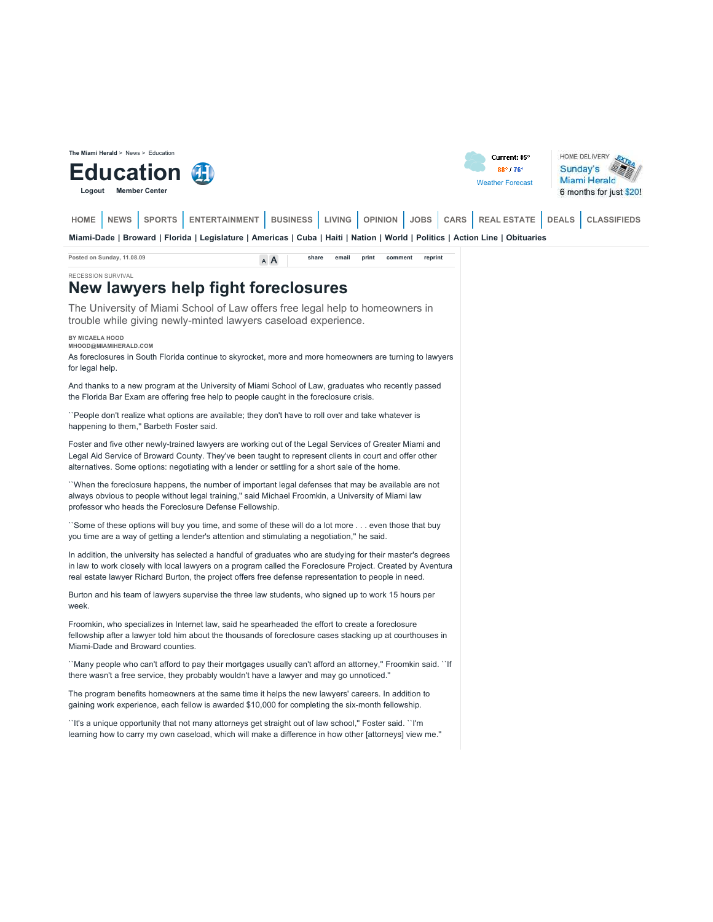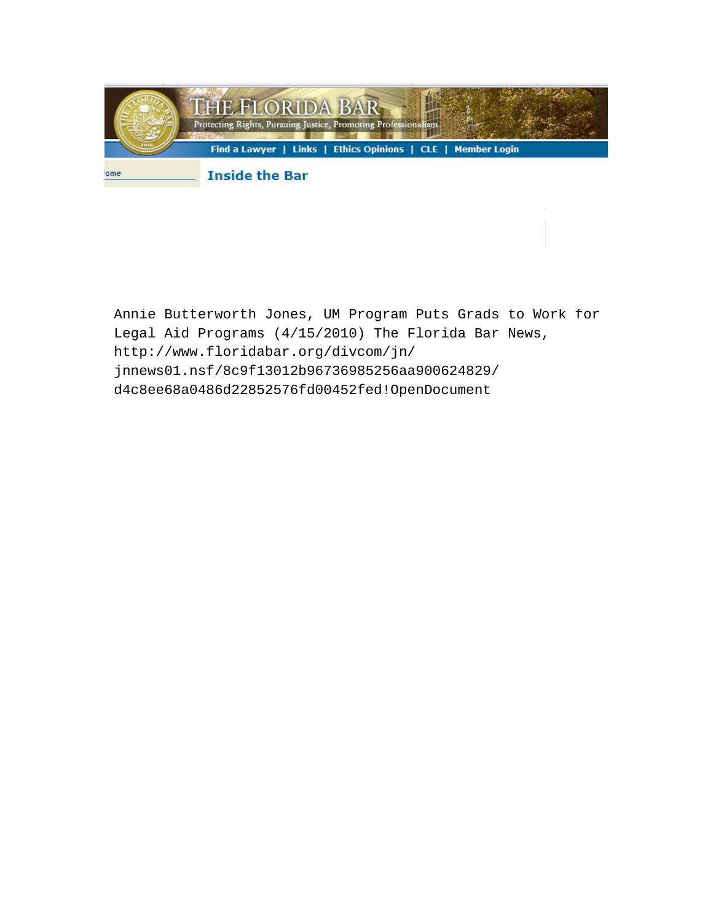

Annie Butterworth Jones, UM Program Puts Grads to Work for Legal Aid Programs (4/15/2010) The Florida Bar News, http://www.floridabar.org/divcom/jn/ jnnews01.nsf/8c9f13012b96736985256aa900624829/ d4c8ee68a0486d22852576fd00452fed!OpenDocument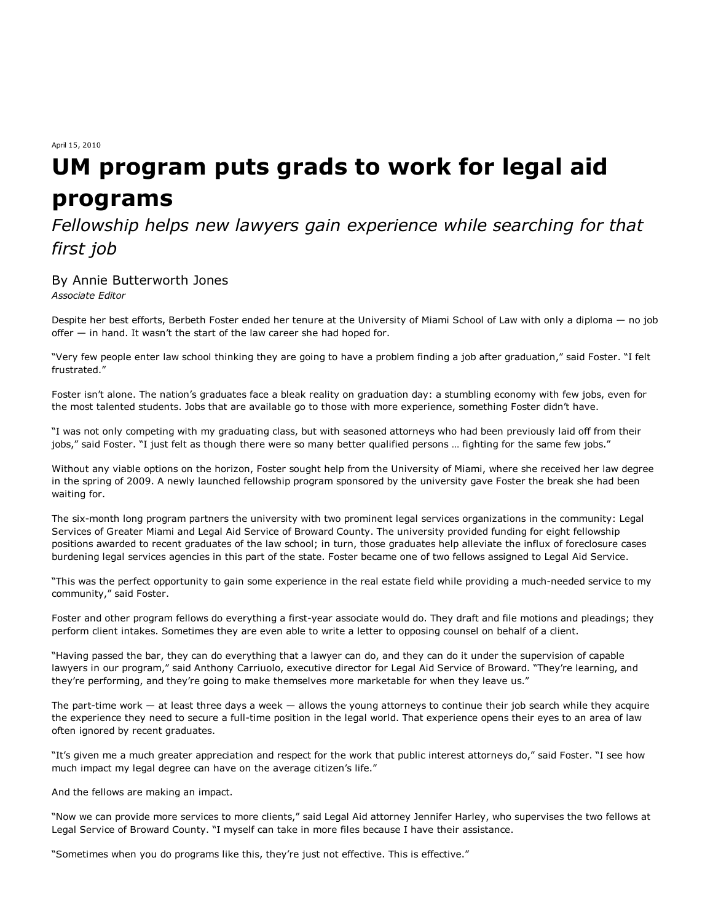April 15, 2010

# **UM program puts grads to work for legal aid programs**

## *Fellowship helps new lawyers gain experience while searching for that first job*

## By Annie Butterworth Jones

*Associate Editor*

Despite her best efforts, Berbeth Foster ended her tenure at the University of Miami School of Law with only a diploma — no job offer — in hand. It wasn't the start of the law career she had hoped for.

"Very few people enter law school thinking they are going to have a problem finding a job after graduation," said Foster. "I felt frustrated."

Foster isn't alone. The nation's graduates face a bleak reality on graduation day: a stumbling economy with few jobs, even for the most talented students. Jobs that are available go to those with more experience, something Foster didn't have.

"I was not only competing with my graduating class, but with seasoned attorneys who had been previously laid off from their jobs," said Foster. "I just felt as though there were so many better qualified persons … fighting for the same few jobs."

Without any viable options on the horizon, Foster sought help from the University of Miami, where she received her law degree in the spring of 2009. A newly launched fellowship program sponsored by the university gave Foster the break she had been waiting for.

The six-month long program partners the university with two prominent legal services organizations in the community: Legal Services of Greater Miami and Legal Aid Service of Broward County. The university provided funding for eight fellowship positions awarded to recent graduates of the law school; in turn, those graduates help alleviate the influx of foreclosure cases burdening legal services agencies in this part of the state. Foster became one of two fellows assigned to Legal Aid Service.

"This was the perfect opportunity to gain some experience in the real estate field while providing a much-needed service to my community," said Foster.

Foster and other program fellows do everything a first-year associate would do. They draft and file motions and pleadings; they perform client intakes. Sometimes they are even able to write a letter to opposing counsel on behalf of a client.

"Having passed the bar, they can do everything that a lawyer can do, and they can do it under the supervision of capable lawyers in our program," said Anthony Carriuolo, executive director for Legal Aid Service of Broward. "They're learning, and they're performing, and they're going to make themselves more marketable for when they leave us."

The part-time work  $-$  at least three days a week  $-$  allows the young attorneys to continue their job search while they acquire the experience they need to secure a full-time position in the legal world. That experience opens their eyes to an area of law often ignored by recent graduates.

"It's given me a much greater appreciation and respect for the work that public interest attorneys do," said Foster. "I see how much impact my legal degree can have on the average citizen's life."

And the fellows are making an impact.

"Now we can provide more services to more clients," said Legal Aid attorney Jennifer Harley, who supervises the two fellows at Legal Service of Broward County. "I myself can take in more files because I have their assistance.

"Sometimes when you do programs like this, they're just not effective. This is effective."